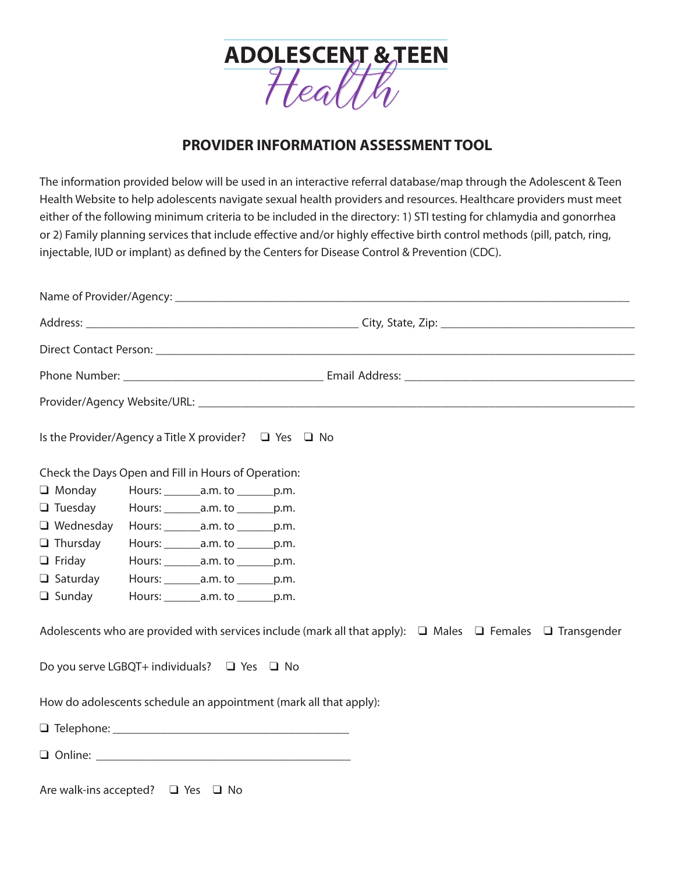

## **PROVIDER INFORMATION ASSESSMENT TOOL**

The information provided below will be used in an interactive referral database/map through the Adolescent & Teen Health Website to help adolescents navigate sexual health providers and resources. Healthcare providers must meet either of the following minimum criteria to be included in the directory: 1) STI testing for chlamydia and gonorrhea or 2) Family planning services that include effective and/or highly effective birth control methods (pill, patch, ring, injectable, IUD or implant) as defined by the Centers for Disease Control & Prevention (CDC).

| Is the Provider/Agency a Title X provider? $\Box$ Yes $\Box$ No   |  |                                               |  |  |  |  |                                                                                                                          |  |
|-------------------------------------------------------------------|--|-----------------------------------------------|--|--|--|--|--------------------------------------------------------------------------------------------------------------------------|--|
| Check the Days Open and Fill in Hours of Operation:               |  |                                               |  |  |  |  |                                                                                                                          |  |
| $\Box$ Monday                                                     |  | Hours: _________ a.m. to ________ p.m.        |  |  |  |  |                                                                                                                          |  |
| $\Box$ Tuesday                                                    |  | Hours: _________ a.m. to ________ p.m.        |  |  |  |  |                                                                                                                          |  |
| $\Box$ Wednesday                                                  |  | Hours: _________ a.m. to ________ p.m.        |  |  |  |  |                                                                                                                          |  |
| $\Box$ Thursday                                                   |  | Hours: $\_\_\_\_\_\$ a.m. to $\_\_\_\_\$ p.m. |  |  |  |  |                                                                                                                          |  |
| $\Box$ Friday                                                     |  | Hours: $\_\_\_\_\_\$ a.m. to $\_\_\_\_\$ p.m. |  |  |  |  |                                                                                                                          |  |
| □ Saturday Hours: ________ a.m. to _______ p.m.                   |  |                                               |  |  |  |  |                                                                                                                          |  |
| $\Box$ Sunday                                                     |  | Hours: _________ a.m. to ________ p.m.        |  |  |  |  |                                                                                                                          |  |
|                                                                   |  |                                               |  |  |  |  | Adolescents who are provided with services include (mark all that apply): $\Box$ Males $\Box$ Females $\Box$ Transgender |  |
| Do you serve LGBQT+ individuals? $\Box$ Yes $\Box$ No             |  |                                               |  |  |  |  |                                                                                                                          |  |
| How do adolescents schedule an appointment (mark all that apply): |  |                                               |  |  |  |  |                                                                                                                          |  |
|                                                                   |  |                                               |  |  |  |  |                                                                                                                          |  |
|                                                                   |  |                                               |  |  |  |  |                                                                                                                          |  |
|                                                                   |  |                                               |  |  |  |  |                                                                                                                          |  |

Are walk-ins accepted? ❑ Yes ❑ No